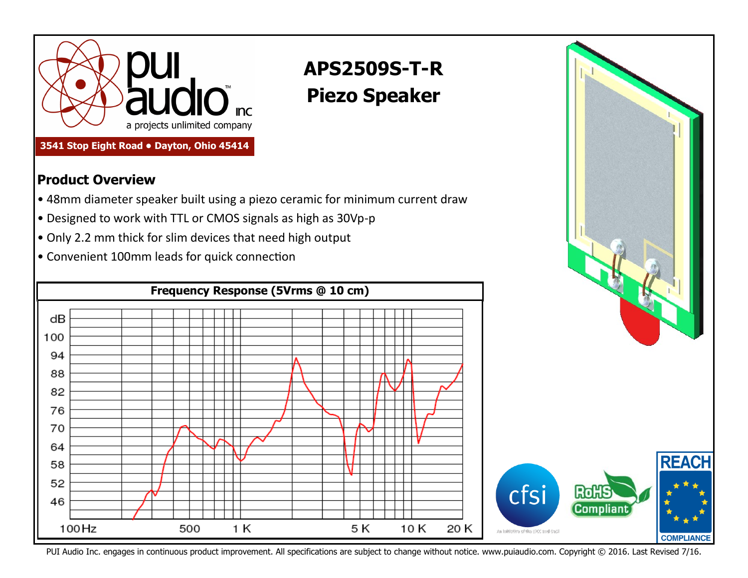

## **3541 Stop Eight Road • Dayton, Ohio 45414**

## **Product Overview**

- 48mm diameter speaker built using a piezo ceramic for minimum current draw
- Designed to work with TTL or CMOS signals as high as 30Vp-p
- Only 2.2 mm thick for slim devices that need high output
- Convenient 100mm leads for quick connection



**APS2509S-T-R**

**Piezo Speaker**

PUI Audio Inc. engages in continuous product improvement. All specifications are subject to change without notice. www.puiaudio.com. Copyright © 2016. Last Revised 7/16.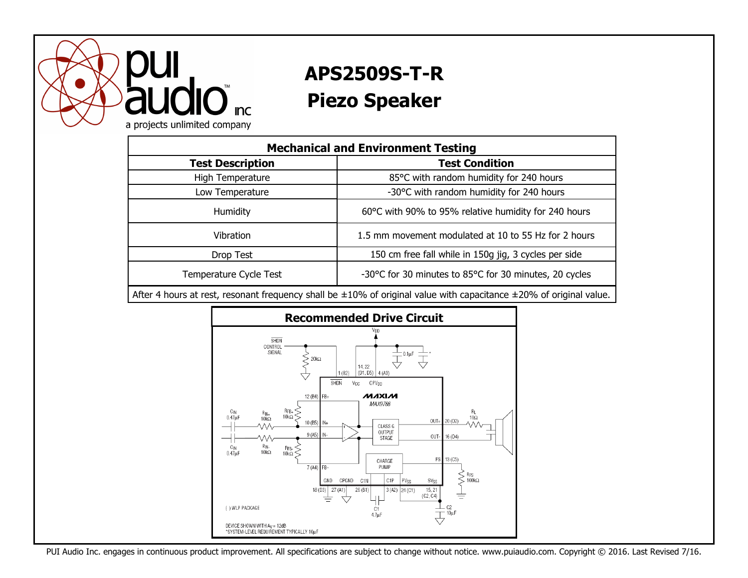

## **APS2509S-T-R Piezo Speaker**

| <b>Mechanical and Environment Testing</b> |                                                        |
|-------------------------------------------|--------------------------------------------------------|
| <b>Test Description</b>                   | <b>Test Condition</b>                                  |
| High Temperature                          | 85°C with random humidity for 240 hours                |
| Low Temperature                           | -30°C with random humidity for 240 hours               |
| <b>Humidity</b>                           | 60°C with 90% to 95% relative humidity for 240 hours   |
| Vibration                                 | 1.5 mm movement modulated at 10 to 55 Hz for 2 hours   |
| Drop Test                                 | 150 cm free fall while in 150g jig, 3 cycles per side  |
| Temperature Cycle Test                    | -30°C for 30 minutes to 85°C for 30 minutes, 20 cycles |

After 4 hours at rest, resonant frequency shall be ±10% of original value with capacitance ±20% of original value.



PUI Audio Inc. engages in continuous product improvement. All specifications are subject to change without notice. www.puiaudio.com. Copyright © 2016. Last Revised 7/16.